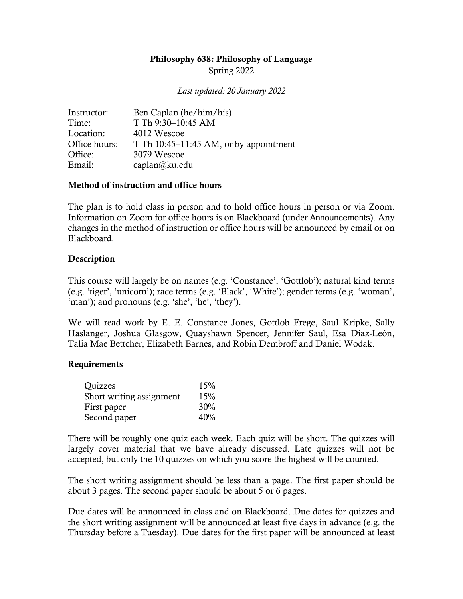# Philosophy 638: Philosophy of Language Spring 2022

*Last updated: 20 January 2022*

| Instructor:   | Ben Caplan (he/him/his)                  |  |
|---------------|------------------------------------------|--|
| Time:         | T Th 9:30-10:45 AM                       |  |
| Location:     | 4012 Wescoe                              |  |
| Office hours: | T Th $10:45-11:45$ AM, or by appointment |  |
| Office:       | 3079 Wescoe                              |  |
| Email:        | caplan@ku.edu                            |  |

## Method of instruction and office hours

The plan is to hold class in person and to hold office hours in person or via Zoom. Information on Zoom for office hours is on Blackboard (under Announcements). Any changes in the method of instruction or office hours will be announced by email or on Blackboard.

## **Description**

This course will largely be on names (e.g. 'Constance', 'Gottlob'); natural kind terms (e.g. 'tiger', 'unicorn'); race terms (e.g. 'Black', 'White'); gender terms (e.g. 'woman', 'man'); and pronouns (e.g. 'she', 'he', 'they').

We will read work by E. E. Constance Jones, Gottlob Frege, Saul Kripke, Sally Haslanger, Joshua Glasgow, Quayshawn Spencer, Jennifer Saul, Esa Díaz-León, Talia Mae Bettcher, Elizabeth Barnes, and Robin Dembroff and Daniel Wodak.

## Requirements

| Quizzes                  | 15% |
|--------------------------|-----|
| Short writing assignment | 15% |
| First paper              | 30% |
| Second paper             | 40% |

There will be roughly one quiz each week. Each quiz will be short. The quizzes will largely cover material that we have already discussed. Late quizzes will not be accepted, but only the 10 quizzes on which you score the highest will be counted.

The short writing assignment should be less than a page. The first paper should be about 3 pages. The second paper should be about 5 or 6 pages.

Due dates will be announced in class and on Blackboard. Due dates for quizzes and the short writing assignment will be announced at least five days in advance (e.g. the Thursday before a Tuesday). Due dates for the first paper will be announced at least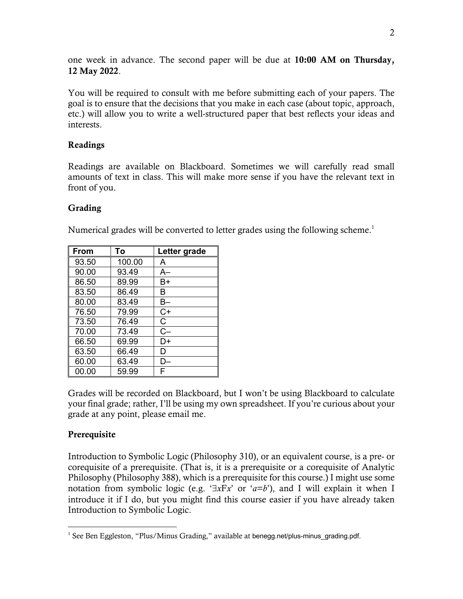one week in advance. The second paper will be due at 10:00 AM on Thursday, 12 May 2022.

You will be required to consult with me before submitting each of your papers. The goal is to ensure that the decisions that you make in each case (about topic, approach, etc.) will allow you to write a well-structured paper that best reflects your ideas and interests.

## Readings

Readings are available on Blackboard. Sometimes we will carefully read small amounts of text in class. This will make more sense if you have the relevant text in front of you.

## Grading

Numerical grades will be converted to letter grades using the following scheme.<sup>1</sup>

| From  | To     | Letter grade |
|-------|--------|--------------|
| 93.50 | 100.00 | A            |
| 90.00 | 93.49  | A–           |
| 86.50 | 89.99  | B+           |
| 83.50 | 86.49  | в            |
| 80.00 | 83.49  | B–           |
| 76.50 | 79.99  | $C+$         |
| 73.50 | 76.49  | C            |
| 70.00 | 73.49  | $C -$        |
| 66.50 | 69.99  | D+           |
| 63.50 | 66.49  | D            |
| 60.00 | 63.49  | l ).         |
| 00.00 | 59.99  | F            |

Grades will be recorded on Blackboard, but I won't be using Blackboard to calculate your final grade; rather, I'll be using my own spreadsheet. If you're curious about your grade at any point, please email me.

# **Prerequisite**

Introduction to Symbolic Logic (Philosophy 310), or an equivalent course, is a pre- or corequisite of a prerequisite. (That is, it is a prerequisite or a corequisite of Analytic Philosophy (Philosophy 388), which is a prerequisite for this course.) I might use some notation from symbolic logic (e.g. ' $\exists x \exists x$ ' or ' $a=b$ '), and I will explain it when I introduce it if I do, but you might find this course easier if you have already taken Introduction to Symbolic Logic.

<sup>&</sup>lt;sup>1</sup> See Ben Eggleston, "Plus/Minus Grading," available at benegg.net/plus-minus\_grading.pdf.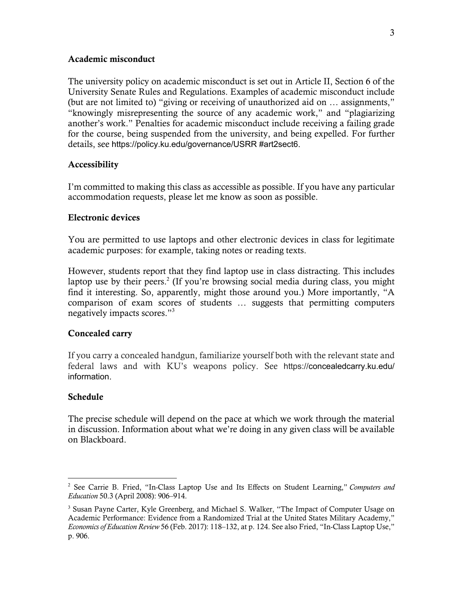### Academic misconduct

The university policy on academic misconduct is set out in Article II, Section 6 of the University Senate Rules and Regulations. Examples of academic misconduct include (but are not limited to) "giving or receiving of unauthorized aid on … assignments," "knowingly misrepresenting the source of any academic work," and "plagiarizing another's work." Penalties for academic misconduct include receiving a failing grade for the course, being suspended from the university, and being expelled. For further details, see https://policy.ku.edu/governance/USRR #art2sect6.

#### Accessibility

I'm committed to making this class as accessible as possible. If you have any particular accommodation requests, please let me know as soon as possible.

#### Electronic devices

You are permitted to use laptops and other electronic devices in class for legitimate academic purposes: for example, taking notes or reading texts.

However, students report that they find laptop use in class distracting. This includes laptop use by their peers.<sup>2</sup> (If you're browsing social media during class, you might find it interesting. So, apparently, might those around you.) More importantly, "A comparison of exam scores of students … suggests that permitting computers negatively impacts scores."3

## Concealed carry

If you carry a concealed handgun, familiarize yourself both with the relevant state and federal laws and with KU's weapons policy. See https://concealedcarry.ku.edu/ information.

#### Schedule

The precise schedule will depend on the pace at which we work through the material in discussion. Information about what we're doing in any given class will be available on Blackboard.

<sup>2</sup> See Carrie B. Fried, "In-Class Laptop Use and Its Effects on Student Learning," *Computers and Education* 50.3 (April 2008): 906–914.

<sup>&</sup>lt;sup>3</sup> Susan Payne Carter, Kyle Greenberg, and Michael S. Walker, "The Impact of Computer Usage on Academic Performance: Evidence from a Randomized Trial at the United States Military Academy," *Economics of Education Review* 56 (Feb. 2017): 118–132, at p. 124. See also Fried, "In-Class Laptop Use," p. 906.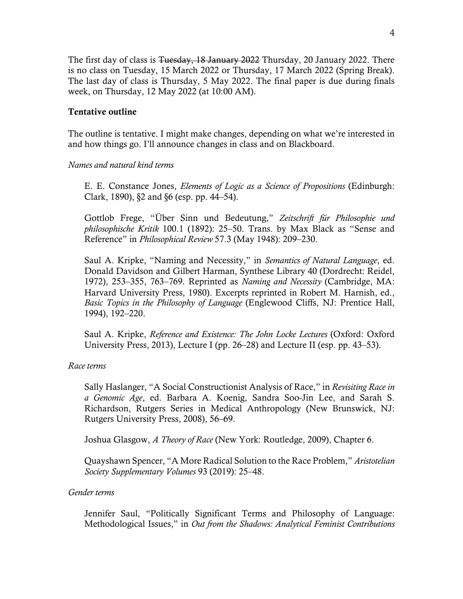The first day of class is <del>Tuesday, 18 January 2022</del> Thursday, 20 January 2022. There is no class on Tuesday, 15 March 2022 or Thursday, 17 March 2022 (Spring Break). The last day of class is Thursday, 5 May 2022. The final paper is due during finals week, on Thursday, 12 May 2022 (at 10:00 AM).

## Tentative outline

The outline is tentative. I might make changes, depending on what we're interested in and how things go. I'll announce changes in class and on Blackboard.

## *Names and natural kind terms*

E. E. Constance Jones, *Elements of Logic as a Science of Propositions* (Edinburgh: Clark, 1890), §2 and §6 (esp. pp. 44–54).

Gottlob Frege, "Über Sinn und Bedeutung," *Zeitschrift für Philosophie und philosophische Kritik* 100.1 (1892): 25–50. Trans. by Max Black as "Sense and Reference" in *Philosophical Review* 57.3 (May 1948): 209–230.

Saul A. Kripke, "Naming and Necessity," in *Semantics of Natural Language*, ed. Donald Davidson and Gilbert Harman, Synthese Library 40 (Dordrecht: Reidel, 1972), 253–355, 763–769. Reprinted as *Naming and Necessity* (Cambridge, MA: Harvard University Press, 1980). Excerpts reprinted in Robert M. Harnish, ed., *Basic Topics in the Philosophy of Language* (Englewood Cliffs, NJ: Prentice Hall, 1994), 192–220.

Saul A. Kripke, *Reference and Existence: The John Locke Lectures* (Oxford: Oxford University Press, 2013), Lecture I (pp. 26–28) and Lecture II (esp. pp. 43–53).

## *Race terms*

Sally Haslanger, "A Social Constructionist Analysis of Race," in *Revisiting Race in a Genomic Age*, ed. Barbara A. Koenig, Sandra Soo-Jin Lee, and Sarah S. Richardson, Rutgers Series in Medical Anthropology (New Brunswick, NJ: Rutgers University Press, 2008), 56–69.

Joshua Glasgow, *A Theory of Race* (New York: Routledge, 2009), Chapter 6.

Quayshawn Spencer, "A More Radical Solution to the Race Problem," *Aristotelian Society Supplementary Volumes* 93 (2019): 25–48.

## *Gender terms*

Jennifer Saul, "Politically Significant Terms and Philosophy of Language: Methodological Issues," in *Out from the Shadows: Analytical Feminist Contributions*